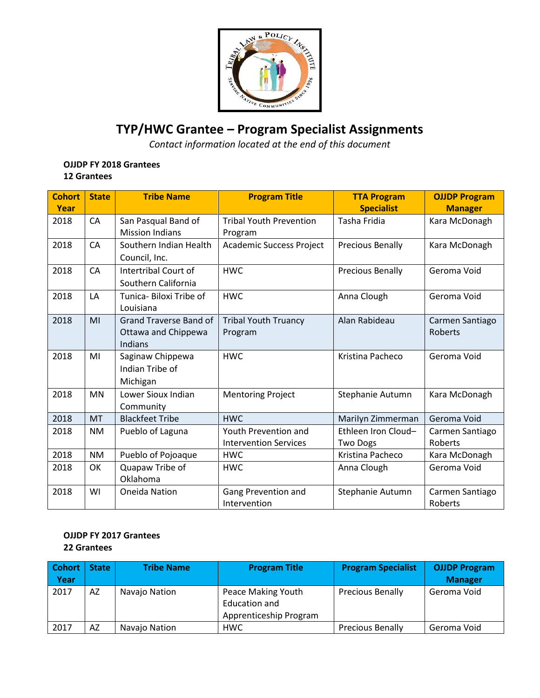

# **TYP/HWC Grantee – Program Specialist Assignments**

*Contact information located at the end of this document*

#### **OJJDP FY 2018 Grantees 12 Grantees**

| <b>Cohort</b><br>Year | <b>State</b> | <b>Tribe Name</b>                                               | <b>Program Title</b>                                 | <b>TTA Program</b><br><b>Specialist</b> | <b>OJJDP Program</b><br><b>Manager</b> |
|-----------------------|--------------|-----------------------------------------------------------------|------------------------------------------------------|-----------------------------------------|----------------------------------------|
| 2018                  | <b>CA</b>    | San Pasqual Band of<br><b>Mission Indians</b>                   | <b>Tribal Youth Prevention</b><br>Program            | Tasha Fridia                            | Kara McDonagh                          |
| 2018                  | CA           | Southern Indian Health<br>Council, Inc.                         | <b>Academic Success Project</b>                      | Precious Benally                        | Kara McDonagh                          |
| 2018                  | CA           | Intertribal Court of<br>Southern California                     | <b>HWC</b>                                           | Precious Benally                        | Geroma Void                            |
| 2018                  | LA           | Tunica- Biloxi Tribe of<br>Louisiana                            | <b>HWC</b>                                           | Anna Clough                             | Geroma Void                            |
| 2018                  | MI           | <b>Grand Traverse Band of</b><br>Ottawa and Chippewa<br>Indians | <b>Tribal Youth Truancy</b><br>Program               | Alan Rabideau                           | Carmen Santiago<br>Roberts             |
| 2018                  | MI           | Saginaw Chippewa<br>Indian Tribe of<br>Michigan                 | <b>HWC</b>                                           | Kristina Pacheco                        | Geroma Void                            |
| 2018                  | <b>MN</b>    | Lower Sioux Indian<br>Community                                 | <b>Mentoring Project</b>                             | Stephanie Autumn                        | Kara McDonagh                          |
| 2018                  | <b>MT</b>    | <b>Blackfeet Tribe</b>                                          | <b>HWC</b>                                           | Marilyn Zimmerman                       | Geroma Void                            |
| 2018                  | <b>NM</b>    | Pueblo of Laguna                                                | Youth Prevention and<br><b>Intervention Services</b> | Ethleen Iron Cloud-<br><b>Two Dogs</b>  | Carmen Santiago<br>Roberts             |
| 2018                  | <b>NM</b>    | Pueblo of Pojoaque                                              | <b>HWC</b>                                           | Kristina Pacheco                        | Kara McDonagh                          |
| 2018                  | OK           | Quapaw Tribe of<br>Oklahoma                                     | <b>HWC</b>                                           | Anna Clough                             | Geroma Void                            |
| 2018                  | WI           | <b>Oneida Nation</b>                                            | Gang Prevention and<br>Intervention                  | Stephanie Autumn                        | Carmen Santiago<br>Roberts             |

# **OJJDP FY 2017 Grantees 22 Grantees**

| Cohort | State | <b>Tribe Name</b> | <b>Program Title</b>                                          | <b>Program Specialist</b> | <b>OJJDP Program</b> |
|--------|-------|-------------------|---------------------------------------------------------------|---------------------------|----------------------|
| Year   |       |                   |                                                               |                           | <b>Manager</b>       |
| 2017   | AZ    | Navajo Nation     | Peace Making Youth<br>Education and<br>Apprenticeship Program | <b>Precious Benally</b>   | Geroma Void          |
| 2017   | AZ    | Navajo Nation     | <b>HWC</b>                                                    | <b>Precious Benally</b>   | Geroma Void          |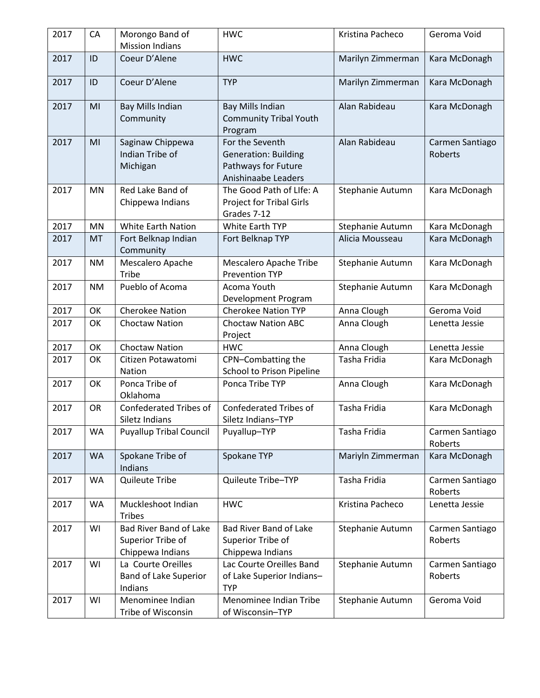| 2017 | CA        | Morongo Band of                                                        | <b>HWC</b>                                                                                   | Kristina Pacheco  | Geroma Void                |
|------|-----------|------------------------------------------------------------------------|----------------------------------------------------------------------------------------------|-------------------|----------------------------|
|      |           | <b>Mission Indians</b>                                                 |                                                                                              |                   |                            |
| 2017 | ID        | Coeur D'Alene                                                          | <b>HWC</b>                                                                                   | Marilyn Zimmerman | Kara McDonagh              |
| 2017 | ID        | Coeur D'Alene                                                          | <b>TYP</b>                                                                                   | Marilyn Zimmerman | Kara McDonagh              |
| 2017 | MI        | Bay Mills Indian<br>Community                                          | Bay Mills Indian<br><b>Community Tribal Youth</b><br>Program                                 | Alan Rabideau     | Kara McDonagh              |
| 2017 | MI        | Saginaw Chippewa<br>Indian Tribe of<br>Michigan                        | For the Seventh<br><b>Generation: Building</b><br>Pathways for Future<br>Anishinaabe Leaders | Alan Rabideau     | Carmen Santiago<br>Roberts |
| 2017 | <b>MN</b> | Red Lake Band of<br>Chippewa Indians                                   | The Good Path of LIfe: A<br><b>Project for Tribal Girls</b><br>Grades 7-12                   | Stephanie Autumn  | Kara McDonagh              |
| 2017 | <b>MN</b> | <b>White Earth Nation</b>                                              | White Earth TYP                                                                              | Stephanie Autumn  | Kara McDonagh              |
| 2017 | MT        | Fort Belknap Indian<br>Community                                       | Fort Belknap TYP                                                                             | Alicia Mousseau   | Kara McDonagh              |
| 2017 | <b>NM</b> | Mescalero Apache<br>Tribe                                              | Mescalero Apache Tribe<br><b>Prevention TYP</b>                                              | Stephanie Autumn  | Kara McDonagh              |
| 2017 | <b>NM</b> | Pueblo of Acoma                                                        | Acoma Youth<br>Development Program                                                           | Stephanie Autumn  | Kara McDonagh              |
| 2017 | OK        | <b>Cherokee Nation</b>                                                 | <b>Cherokee Nation TYP</b>                                                                   | Anna Clough       | Geroma Void                |
| 2017 | OK        | <b>Choctaw Nation</b>                                                  | <b>Choctaw Nation ABC</b><br>Project                                                         | Anna Clough       | Lenetta Jessie             |
| 2017 | OK        | <b>Choctaw Nation</b>                                                  | <b>HWC</b>                                                                                   | Anna Clough       | Lenetta Jessie             |
| 2017 | OK        | Citizen Potawatomi<br><b>Nation</b>                                    | CPN-Combatting the<br>School to Prison Pipeline                                              | Tasha Fridia      | Kara McDonagh              |
| 2017 | OK        | Ponca Tribe of<br>Oklahoma                                             | Ponca Tribe TYP                                                                              | Anna Clough       | Kara McDonagh              |
| 2017 | <b>OR</b> | <b>Confederated Tribes of</b><br>Siletz Indians                        | <b>Confederated Tribes of</b><br>Siletz Indians-TYP                                          | Tasha Fridia      | Kara McDonagh              |
| 2017 | WA        | <b>Puyallup Tribal Council</b>                                         | Puyallup-TYP                                                                                 | Tasha Fridia      | Carmen Santiago<br>Roberts |
| 2017 | <b>WA</b> | Spokane Tribe of<br>Indians                                            | Spokane TYP                                                                                  | Mariyln Zimmerman | Kara McDonagh              |
| 2017 | <b>WA</b> | <b>Quileute Tribe</b>                                                  | Quileute Tribe-TYP                                                                           | Tasha Fridia      | Carmen Santiago<br>Roberts |
| 2017 | <b>WA</b> | Muckleshoot Indian<br><b>Tribes</b>                                    | <b>HWC</b>                                                                                   | Kristina Pacheco  | Lenetta Jessie             |
| 2017 | WI        | <b>Bad River Band of Lake</b><br>Superior Tribe of<br>Chippewa Indians | <b>Bad River Band of Lake</b><br>Superior Tribe of<br>Chippewa Indians                       | Stephanie Autumn  | Carmen Santiago<br>Roberts |
| 2017 | WI        | La Courte Oreilles<br><b>Band of Lake Superior</b><br>Indians          | Lac Courte Oreilles Band<br>of Lake Superior Indians-<br><b>TYP</b>                          | Stephanie Autumn  | Carmen Santiago<br>Roberts |
| 2017 | WI        | Menominee Indian<br>Tribe of Wisconsin                                 | Menominee Indian Tribe<br>of Wisconsin-TYP                                                   | Stephanie Autumn  | Geroma Void                |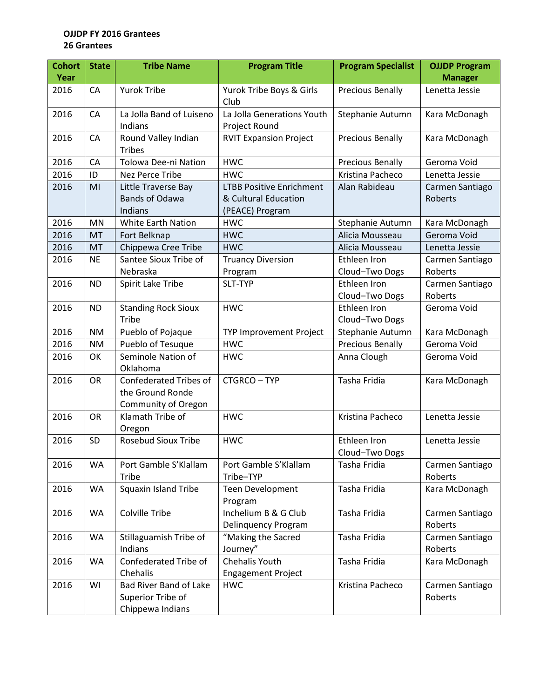## **OJJDP FY 2016 Grantees 26 Grantees**

| <b>Cohort</b> | <b>State</b> | <b>Tribe Name</b>                                                        | <b>Program Title</b>                                                       | <b>Program Specialist</b>      | <b>OJJDP Program</b>       |
|---------------|--------------|--------------------------------------------------------------------------|----------------------------------------------------------------------------|--------------------------------|----------------------------|
| Year          |              |                                                                          |                                                                            |                                | <b>Manager</b>             |
| 2016          | <b>CA</b>    | <b>Yurok Tribe</b>                                                       | Yurok Tribe Boys & Girls<br>Club                                           | <b>Precious Benally</b>        | Lenetta Jessie             |
| 2016          | CA           | La Jolla Band of Luiseno<br>Indians                                      | La Jolla Generations Youth<br>Project Round                                | Stephanie Autumn               | Kara McDonagh              |
| 2016          | CA           | Round Valley Indian<br><b>Tribes</b>                                     | <b>RVIT Expansion Project</b>                                              | <b>Precious Benally</b>        | Kara McDonagh              |
| 2016          | CA           | Tolowa Dee-ni Nation                                                     | <b>HWC</b>                                                                 | <b>Precious Benally</b>        | Geroma Void                |
| 2016          | ID           | Nez Perce Tribe                                                          | <b>HWC</b>                                                                 | Kristina Pacheco               | Lenetta Jessie             |
| 2016          | MI           | Little Traverse Bay<br><b>Bands of Odawa</b><br>Indians                  | <b>LTBB Positive Enrichment</b><br>& Cultural Education<br>(PEACE) Program | Alan Rabideau                  | Carmen Santiago<br>Roberts |
| 2016          | MN           | <b>White Earth Nation</b>                                                | <b>HWC</b>                                                                 | Stephanie Autumn               | Kara McDonagh              |
| 2016          | MT           | Fort Belknap                                                             | <b>HWC</b>                                                                 | Alicia Mousseau                | Geroma Void                |
| 2016          | MT           | Chippewa Cree Tribe                                                      | <b>HWC</b>                                                                 | Alicia Mousseau                | Lenetta Jessie             |
| 2016          | <b>NE</b>    | Santee Sioux Tribe of<br>Nebraska                                        | <b>Truancy Diversion</b><br>Program                                        | Ethleen Iron<br>Cloud-Two Dogs | Carmen Santiago<br>Roberts |
| 2016          | <b>ND</b>    | Spirit Lake Tribe                                                        | SLT-TYP                                                                    | Ethleen Iron                   | Carmen Santiago            |
|               |              |                                                                          |                                                                            | Cloud-Two Dogs                 | Roberts                    |
| 2016          | <b>ND</b>    | <b>Standing Rock Sioux</b>                                               | <b>HWC</b>                                                                 | Ethleen Iron                   | Geroma Void                |
|               |              | Tribe                                                                    |                                                                            | Cloud-Two Dogs                 |                            |
| 2016          | <b>NM</b>    | Pueblo of Pojaque                                                        | <b>TYP Improvement Project</b>                                             | Stephanie Autumn               | Kara McDonagh              |
| 2016          | <b>NM</b>    | Pueblo of Tesuque                                                        | <b>HWC</b>                                                                 | <b>Precious Benally</b>        | Geroma Void                |
| 2016          | OK           | Seminole Nation of<br>Oklahoma                                           | <b>HWC</b>                                                                 | Anna Clough                    | Geroma Void                |
| 2016          | <b>OR</b>    | <b>Confederated Tribes of</b><br>the Ground Ronde<br>Community of Oregon | <b>CTGRCO-TYP</b>                                                          | Tasha Fridia                   | Kara McDonagh              |
| 2016          | <b>OR</b>    | Klamath Tribe of<br>Oregon                                               | <b>HWC</b>                                                                 | Kristina Pacheco               | Lenetta Jessie             |
| 2016          | SD           | <b>Rosebud Sioux Tribe</b>                                               | <b>HWC</b>                                                                 | Ethleen Iron<br>Cloud-Two Dogs | Lenetta Jessie             |
| 2016          | WA           | Port Gamble S'Klallam<br>Tribe                                           | Port Gamble S'Klallam<br>Tribe-TYP                                         | Tasha Fridia                   | Carmen Santiago<br>Roberts |
| 2016          | WA           | <b>Squaxin Island Tribe</b>                                              | <b>Teen Development</b><br>Program                                         | Tasha Fridia                   | Kara McDonagh              |
| 2016          | <b>WA</b>    | Colville Tribe                                                           | Inchelium B & G Club<br>Delinquency Program                                | Tasha Fridia                   | Carmen Santiago<br>Roberts |
| 2016          | WA           | Stillaguamish Tribe of<br>Indians                                        | "Making the Sacred<br>Journey"                                             | Tasha Fridia                   | Carmen Santiago<br>Roberts |
| 2016          | WA           | Confederated Tribe of<br>Chehalis                                        | Chehalis Youth<br><b>Engagement Project</b>                                | Tasha Fridia                   | Kara McDonagh              |
| 2016          | WI           | <b>Bad River Band of Lake</b><br>Superior Tribe of<br>Chippewa Indians   | <b>HWC</b>                                                                 | Kristina Pacheco               | Carmen Santiago<br>Roberts |